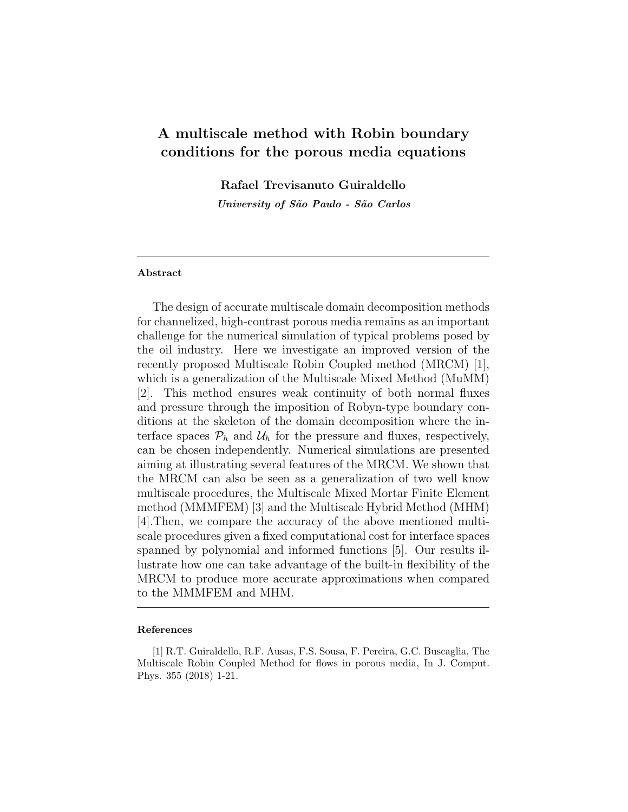## A multiscale method with Robin boundary conditions for the porous media equations

Rafael Trevisanuto Guiraldello University of São Paulo - São Carlos

## Abstract

The design of accurate multiscale domain decomposition methods for channelized, high-contrast porous media remains as an important challenge for the numerical simulation of typical problems posed by the oil industry. Here we investigate an improved version of the recently proposed Multiscale Robin Coupled method (MRCM) [1], which is a generalization of the Multiscale Mixed Method (MuMM) [2]. This method ensures weak continuity of both normal fluxes and pressure through the imposition of Robyn-type boundary conditions at the skeleton of the domain decomposition where the interface spaces  $\mathcal{P}_h$  and  $\mathcal{U}_h$  for the pressure and fluxes, respectively, can be chosen independently. Numerical simulations are presented aiming at illustrating several features of the MRCM. We shown that the MRCM can also be seen as a generalization of two well know multiscale procedures, the Multiscale Mixed Mortar Finite Element method (MMMFEM) [3] and the Multiscale Hybrid Method (MHM) [4].Then, we compare the accuracy of the above mentioned multiscale procedures given a fixed computational cost for interface spaces spanned by polynomial and informed functions [5]. Our results illustrate how one can take advantage of the built-in flexibility of the MRCM to produce more accurate approximations when compared to the MMMFEM and MHM.

## References

<sup>[1]</sup> R.T. Guiraldello, R.F. Ausas, F.S. Sousa, F. Pereira, G.C. Buscaglia, The Multiscale Robin Coupled Method for flows in porous media, In J. Comput. Phys. 355 (2018) 1-21.